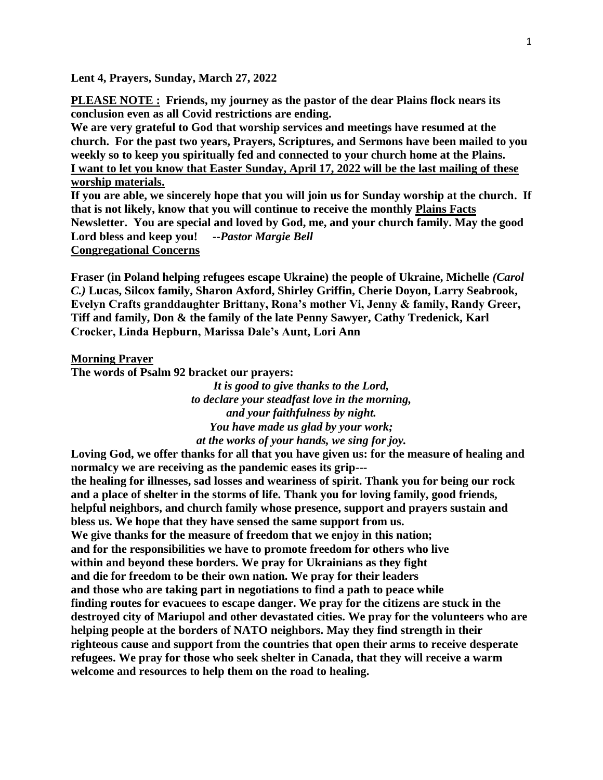**Lent 4, Prayers, Sunday, March 27, 2022**

**PLEASE NOTE : Friends, my journey as the pastor of the dear Plains flock nears its conclusion even as all Covid restrictions are ending.**

**We are very grateful to God that worship services and meetings have resumed at the church. For the past two years, Prayers, Scriptures, and Sermons have been mailed to you weekly so to keep you spiritually fed and connected to your church home at the Plains. I want to let you know that Easter Sunday, April 17, 2022 will be the last mailing of these worship materials.**

**If you are able, we sincerely hope that you will join us for Sunday worship at the church. If that is not likely, know that you will continue to receive the monthly Plains Facts Newsletter. You are special and loved by God, me, and your church family. May the good Lord bless and keep you!** *--Pastor Margie Bell* **Congregational Concerns**

**Fraser (in Poland helping refugees escape Ukraine) the people of Ukraine, Michelle** *(Carol C.)* **Lucas, Silcox family, Sharon Axford, Shirley Griffin, Cherie Doyon, Larry Seabrook, Evelyn Crafts granddaughter Brittany, Rona's mother Vi, Jenny & family, Randy Greer, Tiff and family, Don & the family of the late Penny Sawyer, Cathy Tredenick, Karl Crocker, Linda Hepburn, Marissa Dale's Aunt, Lori Ann**

## **Morning Prayer**

**The words of Psalm 92 bracket our prayers:**

*It is good to give thanks to the Lord, to declare your steadfast love in the morning, and your faithfulness by night. You have made us glad by your work; at the works of your hands, we sing for joy.*

**Loving God, we offer thanks for all that you have given us: for the measure of healing and normalcy we are receiving as the pandemic eases its grip-- the healing for illnesses, sad losses and weariness of spirit. Thank you for being our rock and a place of shelter in the storms of life. Thank you for loving family, good friends, helpful neighbors, and church family whose presence, support and prayers sustain and bless us. We hope that they have sensed the same support from us. We give thanks for the measure of freedom that we enjoy in this nation; and for the responsibilities we have to promote freedom for others who live within and beyond these borders. We pray for Ukrainians as they fight and die for freedom to be their own nation. We pray for their leaders and those who are taking part in negotiations to find a path to peace while finding routes for evacuees to escape danger. We pray for the citizens are stuck in the destroyed city of Mariupol and other devastated cities. We pray for the volunteers who are helping people at the borders of NATO neighbors. May they find strength in their righteous cause and support from the countries that open their arms to receive desperate refugees. We pray for those who seek shelter in Canada, that they will receive a warm welcome and resources to help them on the road to healing.**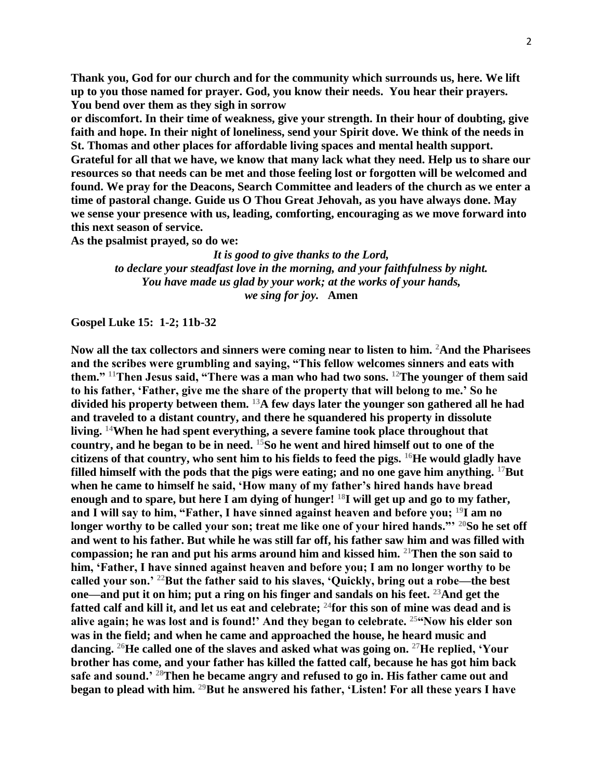**Thank you, God for our church and for the community which surrounds us, here. We lift up to you those named for prayer. God, you know their needs. You hear their prayers. You bend over them as they sigh in sorrow**

**or discomfort. In their time of weakness, give your strength. In their hour of doubting, give faith and hope. In their night of loneliness, send your Spirit dove. We think of the needs in St. Thomas and other places for affordable living spaces and mental health support. Grateful for all that we have, we know that many lack what they need. Help us to share our resources so that needs can be met and those feeling lost or forgotten will be welcomed and found. We pray for the Deacons, Search Committee and leaders of the church as we enter a time of pastoral change. Guide us O Thou Great Jehovah, as you have always done. May we sense your presence with us, leading, comforting, encouraging as we move forward into this next season of service.**

**As the psalmist prayed, so do we:**

*It is good to give thanks to the Lord, to declare your steadfast love in the morning, and your faithfulness by night. You have made us glad by your work; at the works of your hands, we sing for joy.* **Amen**

**Gospel Luke 15: 1-2; 11b-32**

**Now all the tax collectors and sinners were coming near to listen to him. <sup>2</sup>And the Pharisees and the scribes were grumbling and saying, "This fellow welcomes sinners and eats with them." <sup>11</sup>Then Jesus said, "There was a man who had two sons. <sup>12</sup>The younger of them said to his father, 'Father, give me the share of the property that will belong to me.' So he divided his property between them. <sup>13</sup>A few days later the younger son gathered all he had and traveled to a distant country, and there he squandered his property in dissolute living. <sup>14</sup>When he had spent everything, a severe famine took place throughout that country, and he began to be in need. <sup>15</sup>So he went and hired himself out to one of the citizens of that country, who sent him to his fields to feed the pigs. <sup>16</sup>He would gladly have filled himself with the pods that the pigs were eating; and no one gave him anything. <sup>17</sup>But when he came to himself he said, 'How many of my father's hired hands have bread enough and to spare, but here I am dying of hunger! <sup>18</sup>I will get up and go to my father, and I will say to him, "Father, I have sinned against heaven and before you; <sup>19</sup>I am no longer worthy to be called your son; treat me like one of your hired hands."' <sup>20</sup>So he set off and went to his father. But while he was still far off, his father saw him and was filled with compassion; he ran and put his arms around him and kissed him. <sup>21</sup>Then the son said to him, 'Father, I have sinned against heaven and before you; I am no longer worthy to be called your son.' <sup>22</sup>But the father said to his slaves, 'Quickly, bring out a robe—the best one—and put it on him; put a ring on his finger and sandals on his feet. <sup>23</sup>And get the fatted calf and kill it, and let us eat and celebrate; <sup>24</sup>for this son of mine was dead and is alive again; he was lost and is found!' And they began to celebrate. <sup>25</sup>"Now his elder son was in the field; and when he came and approached the house, he heard music and dancing. <sup>26</sup>He called one of the slaves and asked what was going on. <sup>27</sup>He replied, 'Your brother has come, and your father has killed the fatted calf, because he has got him back safe and sound.' <sup>28</sup>Then he became angry and refused to go in. His father came out and began to plead with him. <sup>29</sup>But he answered his father, 'Listen! For all these years I have**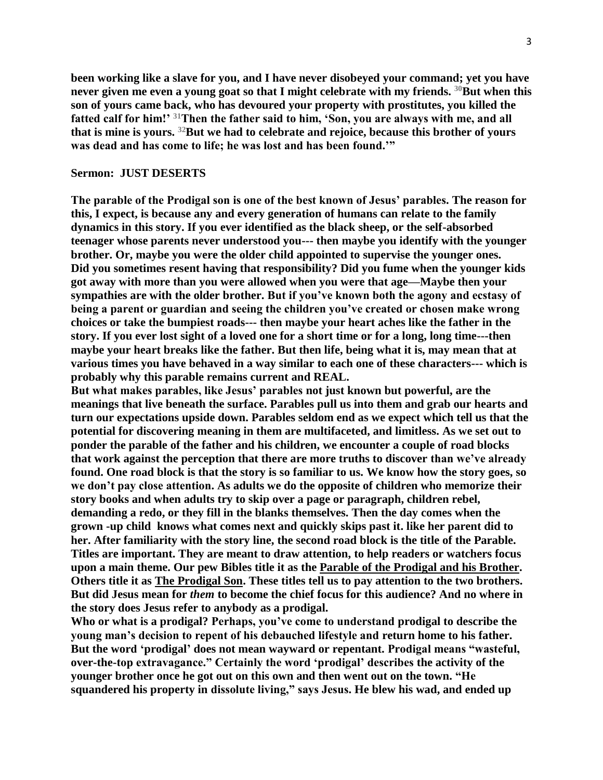**been working like a slave for you, and I have never disobeyed your command; yet you have never given me even a young goat so that I might celebrate with my friends. <sup>30</sup>But when this son of yours came back, who has devoured your property with prostitutes, you killed the fatted calf for him!' <sup>31</sup>Then the father said to him, 'Son, you are always with me, and all that is mine is yours. <sup>32</sup>But we had to celebrate and rejoice, because this brother of yours was dead and has come to life; he was lost and has been found.'"**

## **Sermon: JUST DESERTS**

**The parable of the Prodigal son is one of the best known of Jesus' parables. The reason for this, I expect, is because any and every generation of humans can relate to the family dynamics in this story. If you ever identified as the black sheep, or the self-absorbed teenager whose parents never understood you--- then maybe you identify with the younger brother. Or, maybe you were the older child appointed to supervise the younger ones. Did you sometimes resent having that responsibility? Did you fume when the younger kids got away with more than you were allowed when you were that age—Maybe then your sympathies are with the older brother. But if you've known both the agony and ecstasy of being a parent or guardian and seeing the children you've created or chosen make wrong choices or take the bumpiest roads--- then maybe your heart aches like the father in the story. If you ever lost sight of a loved one for a short time or for a long, long time---then maybe your heart breaks like the father. But then life, being what it is, may mean that at various times you have behaved in a way similar to each one of these characters--- which is probably why this parable remains current and REAL.**

**But what makes parables, like Jesus' parables not just known but powerful, are the meanings that live beneath the surface. Parables pull us into them and grab our hearts and turn our expectations upside down. Parables seldom end as we expect which tell us that the potential for discovering meaning in them are multifaceted, and limitless. As we set out to ponder the parable of the father and his children, we encounter a couple of road blocks that work against the perception that there are more truths to discover than we've already found. One road block is that the story is so familiar to us. We know how the story goes, so we don't pay close attention. As adults we do the opposite of children who memorize their story books and when adults try to skip over a page or paragraph, children rebel, demanding a redo, or they fill in the blanks themselves. Then the day comes when the grown -up child knows what comes next and quickly skips past it. like her parent did to her. After familiarity with the story line, the second road block is the title of the Parable. Titles are important. They are meant to draw attention, to help readers or watchers focus upon a main theme. Our pew Bibles title it as the Parable of the Prodigal and his Brother. Others title it as The Prodigal Son. These titles tell us to pay attention to the two brothers. But did Jesus mean for** *them* **to become the chief focus for this audience? And no where in the story does Jesus refer to anybody as a prodigal.**

**Who or what is a prodigal? Perhaps, you've come to understand prodigal to describe the young man's decision to repent of his debauched lifestyle and return home to his father. But the word 'prodigal' does not mean wayward or repentant. Prodigal means "wasteful, over-the-top extravagance." Certainly the word 'prodigal' describes the activity of the younger brother once he got out on this own and then went out on the town. "He squandered his property in dissolute living," says Jesus. He blew his wad, and ended up**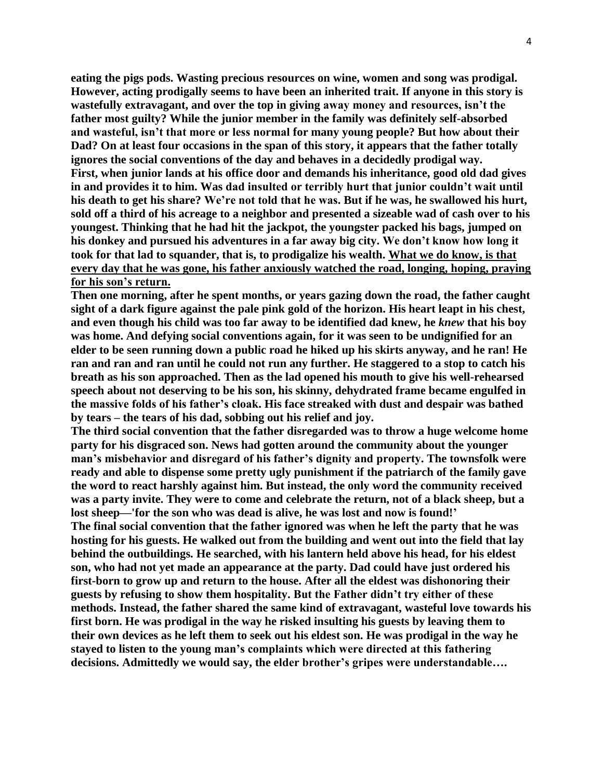**eating the pigs pods. Wasting precious resources on wine, women and song was prodigal. However, acting prodigally seems to have been an inherited trait. If anyone in this story is wastefully extravagant, and over the top in giving away money and resources, isn't the father most guilty? While the junior member in the family was definitely self-absorbed and wasteful, isn't that more or less normal for many young people? But how about their Dad? On at least four occasions in the span of this story, it appears that the father totally ignores the social conventions of the day and behaves in a decidedly prodigal way. First, when junior lands at his office door and demands his inheritance, good old dad gives in and provides it to him. Was dad insulted or terribly hurt that junior couldn't wait until his death to get his share? We're not told that he was. But if he was, he swallowed his hurt, sold off a third of his acreage to a neighbor and presented a sizeable wad of cash over to his youngest. Thinking that he had hit the jackpot, the youngster packed his bags, jumped on his donkey and pursued his adventures in a far away big city. We don't know how long it took for that lad to squander, that is, to prodigalize his wealth. What we do know, is that every day that he was gone, his father anxiously watched the road, longing, hoping, praying for his son's return.**

**Then one morning, after he spent months, or years gazing down the road, the father caught sight of a dark figure against the pale pink gold of the horizon. His heart leapt in his chest, and even though his child was too far away to be identified dad knew, he** *knew* **that his boy was home. And defying social conventions again, for it was seen to be undignified for an elder to be seen running down a public road he hiked up his skirts anyway, and he ran! He ran and ran and ran until he could not run any further. He staggered to a stop to catch his breath as his son approached. Then as the lad opened his mouth to give his well-rehearsed speech about not deserving to be his son, his skinny, dehydrated frame became engulfed in the massive folds of his father's cloak. His face streaked with dust and despair was bathed by tears – the tears of his dad, sobbing out his relief and joy.**

**The third social convention that the father disregarded was to throw a huge welcome home party for his disgraced son. News had gotten around the community about the younger man's misbehavior and disregard of his father's dignity and property. The townsfolk were ready and able to dispense some pretty ugly punishment if the patriarch of the family gave the word to react harshly against him. But instead, the only word the community received was a party invite. They were to come and celebrate the return, not of a black sheep, but a lost sheep—'for the son who was dead is alive, he was lost and now is found!'**

**The final social convention that the father ignored was when he left the party that he was hosting for his guests. He walked out from the building and went out into the field that lay behind the outbuildings. He searched, with his lantern held above his head, for his eldest son, who had not yet made an appearance at the party. Dad could have just ordered his first-born to grow up and return to the house. After all the eldest was dishonoring their guests by refusing to show them hospitality. But the Father didn't try either of these methods. Instead, the father shared the same kind of extravagant, wasteful love towards his first born. He was prodigal in the way he risked insulting his guests by leaving them to their own devices as he left them to seek out his eldest son. He was prodigal in the way he stayed to listen to the young man's complaints which were directed at this fathering decisions. Admittedly we would say, the elder brother's gripes were understandable….**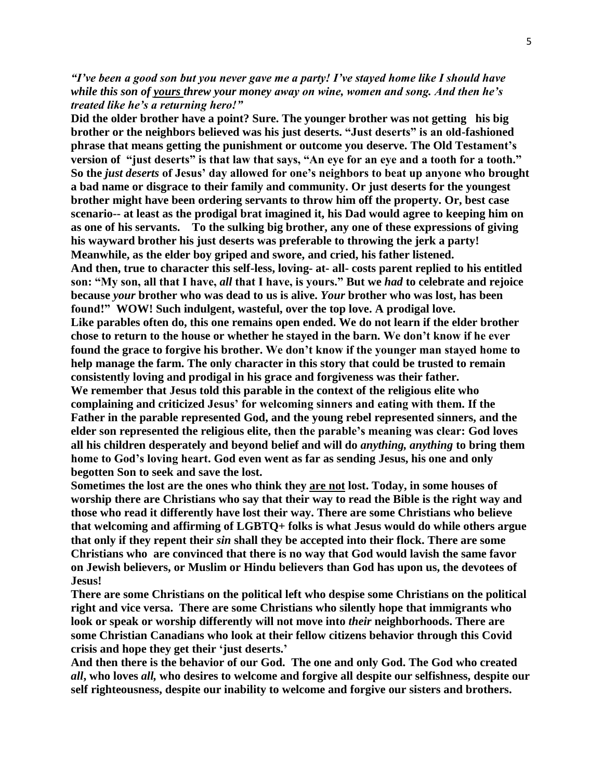*"I've been a good son but you never gave me a party! I've stayed home like I should have while this son of yours threw your money away on wine, women and song. And then he's treated like he's a returning hero!"*

**Did the older brother have a point? Sure. The younger brother was not getting his big brother or the neighbors believed was his just deserts. "Just deserts" is an old-fashioned phrase that means getting the punishment or outcome you deserve. The Old Testament's version of "just deserts" is that law that says, "An eye for an eye and a tooth for a tooth." So the** *just deserts* **of Jesus' day allowed for one's neighbors to beat up anyone who brought a bad name or disgrace to their family and community. Or just deserts for the youngest brother might have been ordering servants to throw him off the property. Or, best case scenario-- at least as the prodigal brat imagined it, his Dad would agree to keeping him on as one of his servants. To the sulking big brother, any one of these expressions of giving his wayward brother his just deserts was preferable to throwing the jerk a party! Meanwhile, as the elder boy griped and swore, and cried, his father listened. And then, true to character this self-less, loving- at- all- costs parent replied to his entitled son: "My son, all that I have,** *all* **that I have, is yours." But we** *had* **to celebrate and rejoice because** *your* **brother who was dead to us is alive.** *Your* **brother who was lost, has been found!" WOW! Such indulgent, wasteful, over the top love. A prodigal love. Like parables often do, this one remains open ended. We do not learn if the elder brother chose to return to the house or whether he stayed in the barn. We don't know if he ever found the grace to forgive his brother. We don't know if the younger man stayed home to help manage the farm. The only character in this story that could be trusted to remain consistently loving and prodigal in his grace and forgiveness was their father. We remember that Jesus told this parable in the context of the religious elite who complaining and criticized Jesus' for welcoming sinners and eating with them. If the Father in the parable represented God, and the young rebel represented sinners, and the elder son represented the religious elite, then the parable's meaning was clear: God loves all his children desperately and beyond belief and will do** *anything, anything* **to bring them home to God's loving heart. God even went as far as sending Jesus, his one and only begotten Son to seek and save the lost.**

**Sometimes the lost are the ones who think they are not lost. Today, in some houses of worship there are Christians who say that their way to read the Bible is the right way and those who read it differently have lost their way. There are some Christians who believe that welcoming and affirming of LGBTQ+ folks is what Jesus would do while others argue that only if they repent their** *sin* **shall they be accepted into their flock. There are some Christians who are convinced that there is no way that God would lavish the same favor on Jewish believers, or Muslim or Hindu believers than God has upon us, the devotees of Jesus!**

**There are some Christians on the political left who despise some Christians on the political right and vice versa. There are some Christians who silently hope that immigrants who look or speak or worship differently will not move into** *their* **neighborhoods. There are some Christian Canadians who look at their fellow citizens behavior through this Covid crisis and hope they get their 'just deserts.'** 

**And then there is the behavior of our God. The one and only God. The God who created**  *all***, who loves** *all,* **who desires to welcome and forgive all despite our selfishness, despite our self righteousness, despite our inability to welcome and forgive our sisters and brothers.**